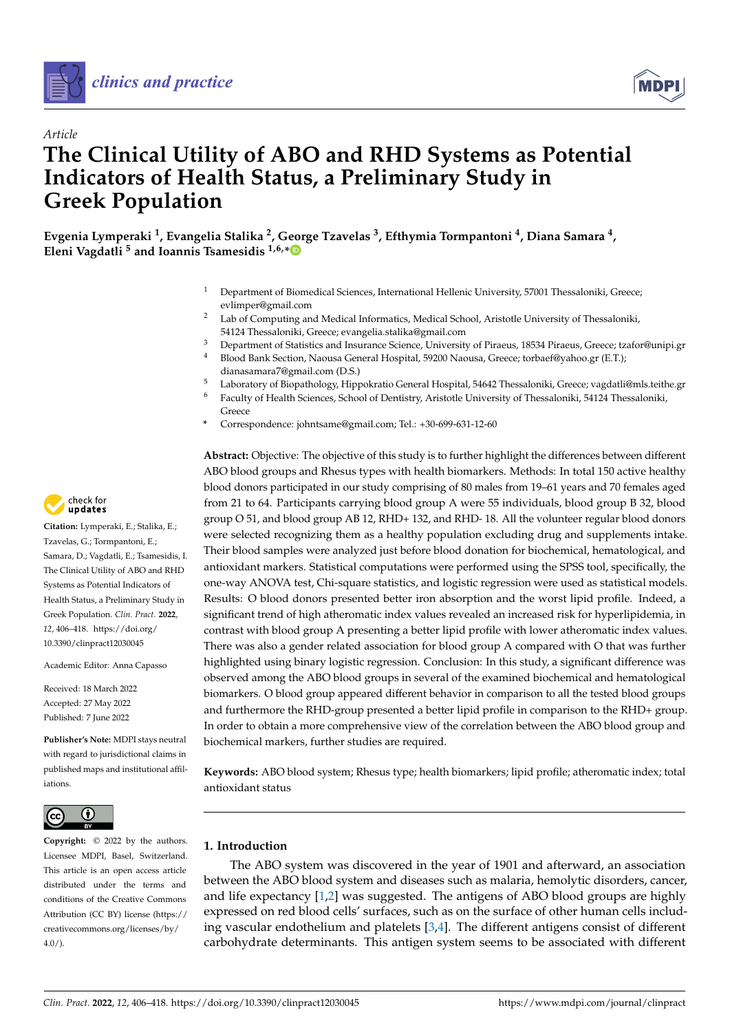



# *Article* **The Clinical Utility of ABO and RHD Systems as Potential Indicators of Health Status, a Preliminary Study in Greek Population**

**Evgenia Lymperaki <sup>1</sup> , Evangelia Stalika <sup>2</sup> , George Tzavelas <sup>3</sup> , Efthymia Tormpantoni <sup>4</sup> , Diana Samara <sup>4</sup> , Eleni Vagdatli <sup>5</sup> and Ioannis Tsamesidis 1,6,[\\*](https://orcid.org/0000-0002-1439-3920)**

- <sup>1</sup> Department of Biomedical Sciences, International Hellenic University, 57001 Thessaloniki, Greece; evlimper@gmail.com
- <sup>2</sup> Lab of Computing and Medical Informatics, Medical School, Aristotle University of Thessaloniki, 54124 Thessaloniki, Greece; evangelia.stalika@gmail.com
- <sup>3</sup> Department of Statistics and Insurance Science, University of Piraeus, 18534 Piraeus, Greece; tzafor@unipi.gr<br><sup>4</sup> Blood Bank Section, Naouse Congral Hospital, 59200 Naouse, Creece; tarbor@unhoe or (E.T.).
- <sup>4</sup> Blood Bank Section, Naousa General Hospital, 59200 Naousa, Greece; torbaef@yahoo.gr (E.T.); dianasamara7@gmail.com (D.S.)
- 5 Laboratory of Biopathology, Hippokratio General Hospital, 54642 Thessaloniki, Greece; vagdatli@mls.teithe.gr<br><sup>6</sup> Eaculty of Health Sciences, School of Dentistry, Aristotle University of Thessaloniki, 54124 Thessaloniki
- <sup>6</sup> Faculty of Health Sciences, School of Dentistry, Aristotle University of Thessaloniki, 54124 Thessaloniki, Greece
- **\*** Correspondence: johntsame@gmail.com; Tel.: +30-699-631-12-60

**Abstract:** Objective: The objective of this study is to further highlight the differences between different ABO blood groups and Rhesus types with health biomarkers. Methods: In total 150 active healthy blood donors participated in our study comprising of 80 males from 19–61 years and 70 females aged from 21 to 64. Participants carrying blood group A were 55 individuals, blood group B 32, blood group O 51, and blood group AB 12, RHD+ 132, and RHD- 18. All the volunteer regular blood donors were selected recognizing them as a healthy population excluding drug and supplements intake. Their blood samples were analyzed just before blood donation for biochemical, hematological, and antioxidant markers. Statistical computations were performed using the SPSS tool, specifically, the one-way ANOVA test, Chi-square statistics, and logistic regression were used as statistical models. Results: O blood donors presented better iron absorption and the worst lipid profile. Indeed, a significant trend of high atheromatic index values revealed an increased risk for hyperlipidemia, in contrast with blood group A presenting a better lipid profile with lower atheromatic index values. There was also a gender related association for blood group A compared with O that was further highlighted using binary logistic regression. Conclusion: In this study, a significant difference was observed among the ABO blood groups in several of the examined biochemical and hematological biomarkers. O blood group appeared different behavior in comparison to all the tested blood groups and furthermore the RHD-group presented a better lipid profile in comparison to the RHD+ group. In order to obtain a more comprehensive view of the correlation between the ABO blood group and biochemical markers, further studies are required.

**Keywords:** ABO blood system; Rhesus type; health biomarkers; lipid profile; atheromatic index; total antioxidant status

# **1. Introduction**

The ABO system was discovered in the year of 1901 and afterward, an association between the ABO blood system and diseases such as malaria, hemolytic disorders, cancer, and life expectancy [\[1,](#page-10-0)[2\]](#page-10-1) was suggested. The antigens of ABO blood groups are highly expressed on red blood cells' surfaces, such as on the surface of other human cells including vascular endothelium and platelets  $[3,4]$  $[3,4]$ . The different antigens consist of different carbohydrate determinants. This antigen system seems to be associated with different



**Citation:** Lymperaki, E.; Stalika, E.; Tzavelas, G.; Tormpantoni, E.; Samara, D.; Vagdatli, E.; Tsamesidis, I. The Clinical Utility of ABO and RHD Systems as Potential Indicators of Health Status, a Preliminary Study in Greek Population. *Clin. Pract.* **2022**, *12*, 406–418. [https://doi.org/](https://doi.org/10.3390/clinpract12030045) [10.3390/clinpract12030045](https://doi.org/10.3390/clinpract12030045)

Academic Editor: Anna Capasso

Received: 18 March 2022 Accepted: 27 May 2022 Published: 7 June 2022

**Publisher's Note:** MDPI stays neutral with regard to jurisdictional claims in published maps and institutional affiliations.



**Copyright:** © 2022 by the authors. Licensee MDPI, Basel, Switzerland. This article is an open access article distributed under the terms and conditions of the Creative Commons Attribution (CC BY) license [\(https://](https://creativecommons.org/licenses/by/4.0/) [creativecommons.org/licenses/by/](https://creativecommons.org/licenses/by/4.0/)  $4.0/$ ).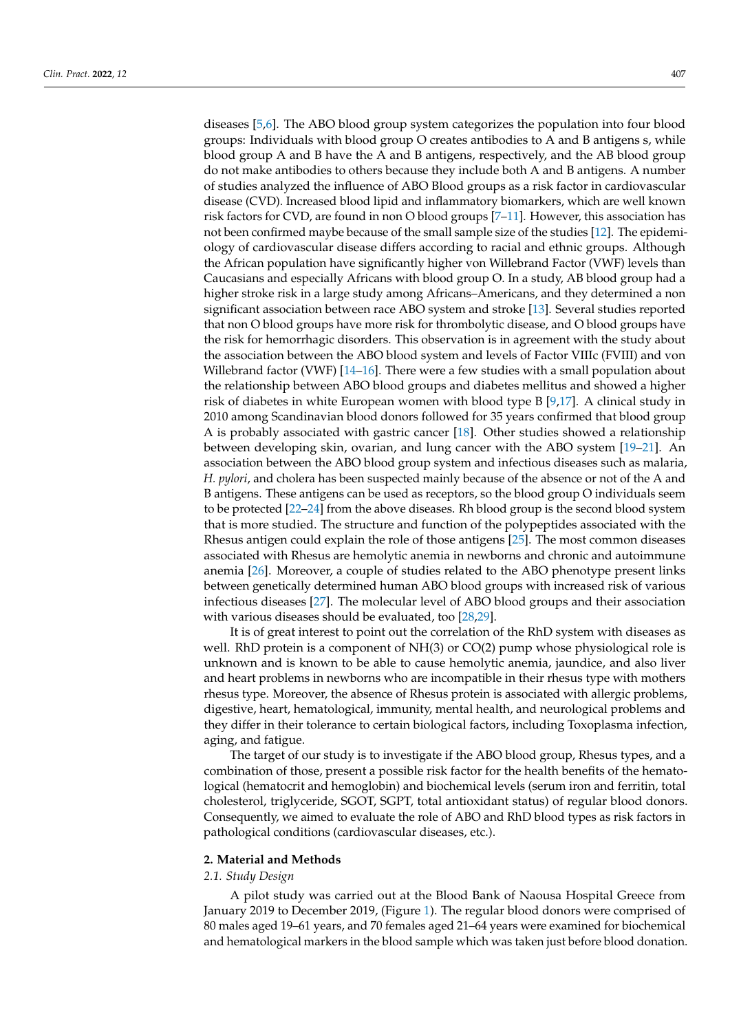diseases [\[5](#page-10-4)[,6\]](#page-11-0). The ABO blood group system categorizes the population into four blood groups: Individuals with blood group O creates antibodies to A and B antigens s, while blood group A and B have the A and B antigens, respectively, and the AB blood group do not make antibodies to others because they include both A and B antigens. A number of studies analyzed the influence of ABO Blood groups as a risk factor in cardiovascular disease (CVD). Increased blood lipid and inflammatory biomarkers, which are well known risk factors for CVD, are found in non O blood groups [\[7–](#page-11-1)[11\]](#page-11-2). However, this association has not been confirmed maybe because of the small sample size of the studies [\[12\]](#page-11-3). The epidemiology of cardiovascular disease differs according to racial and ethnic groups. Although the African population have significantly higher von Willebrand Factor (VWF) levels than Caucasians and especially Africans with blood group O. In a study, AB blood group had a higher stroke risk in a large study among Africans–Americans, and they determined a non significant association between race ABO system and stroke [\[13\]](#page-11-4). Several studies reported that non O blood groups have more risk for thrombolytic disease, and O blood groups have the risk for hemorrhagic disorders. This observation is in agreement with the study about the association between the ABO blood system and levels of Factor VIIIc (FVIII) and von Willebrand factor (VWF)  $[14–16]$  $[14–16]$ . There were a few studies with a small population about the relationship between ABO blood groups and diabetes mellitus and showed a higher risk of diabetes in white European women with blood type B [\[9](#page-11-7)[,17\]](#page-11-8). A clinical study in 2010 among Scandinavian blood donors followed for 35 years confirmed that blood group A is probably associated with gastric cancer [\[18\]](#page-11-9). Other studies showed a relationship between developing skin, ovarian, and lung cancer with the ABO system [\[19–](#page-11-10)[21\]](#page-11-11). An association between the ABO blood group system and infectious diseases such as malaria, *H. pylori*, and cholera has been suspected mainly because of the absence or not of the A and B antigens. These antigens can be used as receptors, so the blood group O individuals seem to be protected [\[22–](#page-11-12)[24\]](#page-11-13) from the above diseases. Rh blood group is the second blood system that is more studied. The structure and function of the polypeptides associated with the Rhesus antigen could explain the role of those antigens [\[25\]](#page-11-14). The most common diseases associated with Rhesus are hemolytic anemia in newborns and chronic and autoimmune anemia [\[26\]](#page-11-15). Moreover, a couple of studies related to the ABO phenotype present links between genetically determined human ABO blood groups with increased risk of various infectious diseases [\[27\]](#page-11-16). The molecular level of ABO blood groups and their association with various diseases should be evaluated, too [\[28](#page-11-17)[,29\]](#page-11-18).

It is of great interest to point out the correlation of the RhD system with diseases as well. RhD protein is a component of NH(3) or CO(2) pump whose physiological role is unknown and is known to be able to cause hemolytic anemia, jaundice, and also liver and heart problems in newborns who are incompatible in their rhesus type with mothers rhesus type. Moreover, the absence of Rhesus protein is associated with allergic problems, digestive, heart, hematological, immunity, mental health, and neurological problems and they differ in their tolerance to certain biological factors, including Toxoplasma infection, aging, and fatigue.

The target of our study is to investigate if the ABO blood group, Rhesus types, and a combination of those, present a possible risk factor for the health benefits of the hematological (hematocrit and hemoglobin) and biochemical levels (serum iron and ferritin, total cholesterol, triglyceride, SGOT, SGPT, total antioxidant status) of regular blood donors. Consequently, we aimed to evaluate the role of ABO and RhD blood types as risk factors in pathological conditions (cardiovascular diseases, etc.).

## **2. Material and Methods**

# *2.1. Study Design*

A pilot study was carried out at the Blood Bank of Naousa Hospital Greece from January 2019 to December 2019, (Figure [1\)](#page-2-0). The regular blood donors were comprised of 80 males aged 19–61 years, and 70 females aged 21–64 years were examined for biochemical and hematological markers in the blood sample which was taken just before blood donation.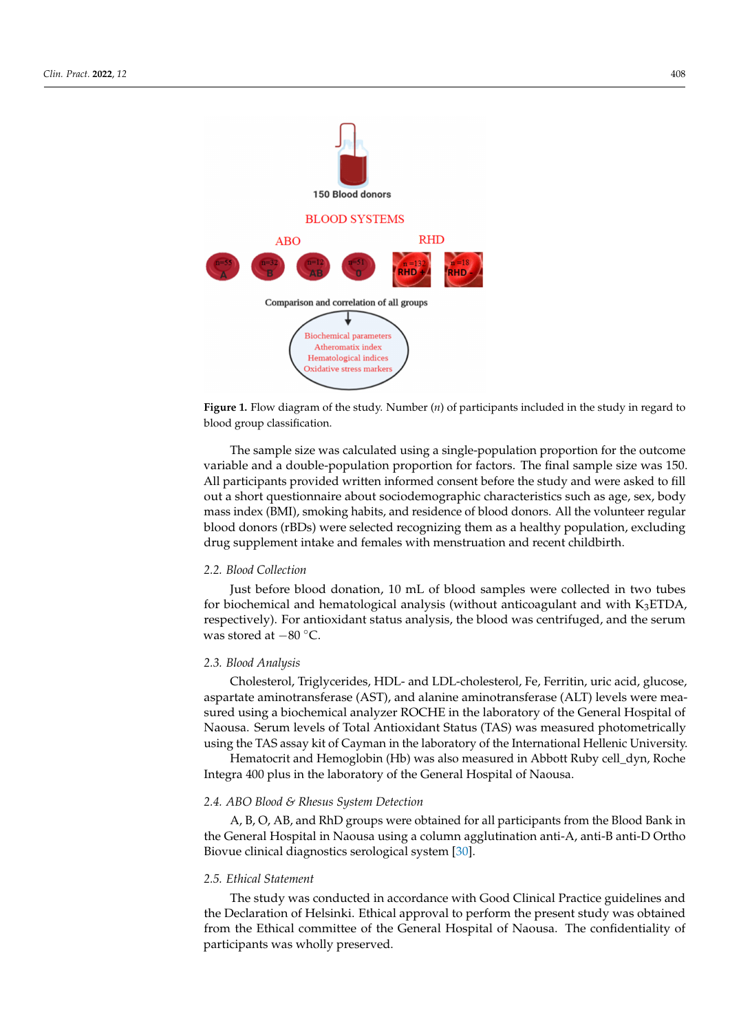<span id="page-2-0"></span>

**Figure 1.** Flow diagram of the study. Number (*n*) of participants included in the study in regard to blood group classification.

The sample size was calculated using a single-population proportion for the outcome variable and a double-population proportion for factors. The final sample size was 150. All participants provided written informed consent before the study and were asked to fill out a short questionnaire about sociodemographic characteristics such as age, sex, body mass index (BMI), smoking habits, and residence of blood donors. All the volunteer regular blood donors (rBDs) were selected recognizing them as a healthy population, excluding drug supplement intake and females with menstruation and recent childbirth.

## *2.2. Blood Collection*

Just before blood donation, 10 mL of blood samples were collected in two tubes for biochemical and hematological analysis (without anticoagulant and with  $K_3ETDA$ , respectively). For antioxidant status analysis, the blood was centrifuged, and the serum was stored at −80 ◦C.

## *2.3. Blood Analysis*

Cholesterol, Triglycerides, HDL- and LDL-cholesterol, Fe, Ferritin, uric acid, glucose, aspartate aminotransferase (AST), and alanine aminotransferase (ALT) levels were measured using a biochemical analyzer ROCHE in the laboratory of the General Hospital of Naousa. Serum levels of Total Antioxidant Status (TAS) was measured photometrically using the TAS assay kit of Cayman in the laboratory of the International Hellenic University.

Hematocrit and Hemoglobin (Hb) was also measured in Abbott Ruby cell\_dyn, Roche Integra 400 plus in the laboratory of the General Hospital of Naousa.

#### *2.4. ABO Blood & Rhesus System Detection*

A, B, O, AB, and RhD groups were obtained for all participants from the Blood Bank in the General Hospital in Naousa using a column agglutination anti-A, anti-B anti-D Ortho Biovue clinical diagnostics serological system [\[30\]](#page-11-19).

## *2.5. Ethical Statement*

The study was conducted in accordance with Good Clinical Practice guidelines and the Declaration of Helsinki. Ethical approval to perform the present study was obtained from the Ethical committee of the General Hospital of Naousa. The confidentiality of participants was wholly preserved.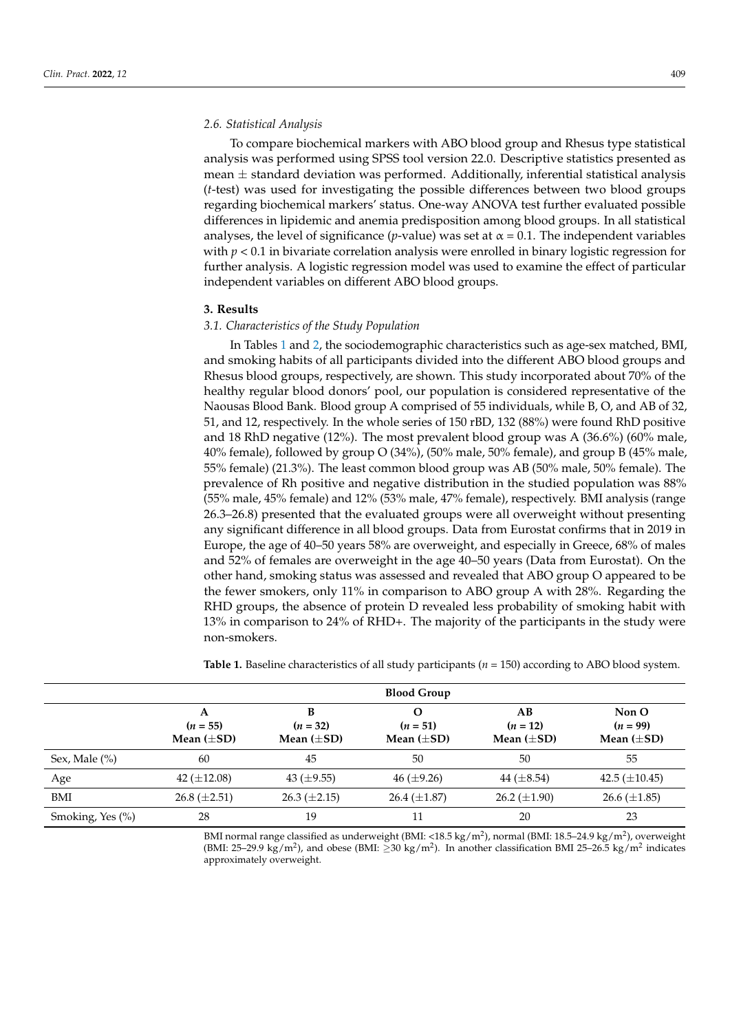## *2.6. Statistical Analysis*

To compare biochemical markers with ABO blood group and Rhesus type statistical analysis was performed using SPSS tool version 22.0. Descriptive statistics presented as mean  $\pm$  standard deviation was performed. Additionally, inferential statistical analysis (*t*-test) was used for investigating the possible differences between two blood groups regarding biochemical markers' status. One-way ANOVA test further evaluated possible differences in lipidemic and anemia predisposition among blood groups. In all statistical analyses, the level of significance (*p*-value) was set at  $\alpha = 0.1$ . The independent variables with *p* < 0.1 in bivariate correlation analysis were enrolled in binary logistic regression for further analysis. A logistic regression model was used to examine the effect of particular independent variables on different ABO blood groups.

#### **3. Results**

## *3.1. Characteristics of the Study Population*

In Tables [1](#page-3-0) and [2,](#page-4-0) the sociodemographic characteristics such as age-sex matched, BMI, and smoking habits of all participants divided into the different ABO blood groups and Rhesus blood groups, respectively, are shown. This study incorporated about 70% of the healthy regular blood donors' pool, our population is considered representative of the Naousas Blood Bank. Blood group A comprised of 55 individuals, while B, O, and AB of 32, 51, and 12, respectively. In the whole series of 150 rBD, 132 (88%) were found RhD positive and 18 RhD negative (12%). The most prevalent blood group was A (36.6%) (60% male, 40% female), followed by group O (34%), (50% male, 50% female), and group B (45% male, 55% female) (21.3%). The least common blood group was AB (50% male, 50% female). The prevalence of Rh positive and negative distribution in the studied population was 88% (55% male, 45% female) and 12% (53% male, 47% female), respectively. BMI analysis (range 26.3–26.8) presented that the evaluated groups were all overweight without presenting any significant difference in all blood groups. Data from Eurostat confirms that in 2019 in Europe, the age of 40–50 years 58% are overweight, and especially in Greece, 68% of males and 52% of females are overweight in the age 40–50 years (Data from Eurostat). On the other hand, smoking status was assessed and revealed that ABO group O appeared to be the fewer smokers, only 11% in comparison to ABO group A with 28%. Regarding the RHD groups, the absence of protein D revealed less probability of smoking habit with 13% in comparison to 24% of RHD+. The majority of the participants in the study were non-smokers.

|                   | <b>Blood Group</b>                 |                                    |                                    |                                     |                                        |
|-------------------|------------------------------------|------------------------------------|------------------------------------|-------------------------------------|----------------------------------------|
|                   | A<br>$(n = 55)$<br>Mean $(\pm SD)$ | В<br>$(n = 32)$<br>Mean $(\pm SD)$ | Ω<br>$(n = 51)$<br>Mean $(\pm SD)$ | AB<br>$(n = 12)$<br>Mean $(\pm SD)$ | Non O<br>$(n = 99)$<br>Mean $(\pm SD)$ |
| Sex, Male $(\% )$ | 60                                 | 45                                 | 50                                 | 50                                  | 55                                     |
| Age               | 42 $(\pm 12.08)$                   | 43 $(\pm 9.55)$                    | $46 (\pm 9.26)$                    | 44 $(\pm 8.54)$                     | 42.5 $(\pm 10.45)$                     |
| BMI               | $26.8 (\pm 2.51)$                  | $26.3 \ (\pm 2.15)$                | $26.4 \ (\pm 1.87)$                | $26.2 \ (\pm 1.90)$                 | $26.6 \ (\pm 1.85)$                    |
| Smoking, Yes (%)  | 28                                 | 19                                 | 11                                 | 20                                  | 23                                     |

<span id="page-3-0"></span>**Table 1.** Baseline characteristics of all study participants (*n* = 150) according to ABO blood system.

BMI normal range classified as underweight (BMI: <18.5 kg/m<sup>2</sup>), normal (BMI: 18.5–24.9 kg/m<sup>2</sup>), overweight (BMI: 25–29.9 kg/m<sup>2</sup>), and obese (BMI:  $\geq$ 30 kg/m<sup>2</sup>). In another classification BMI 25–26.5 kg/m<sup>2</sup> indicates approximately overweight.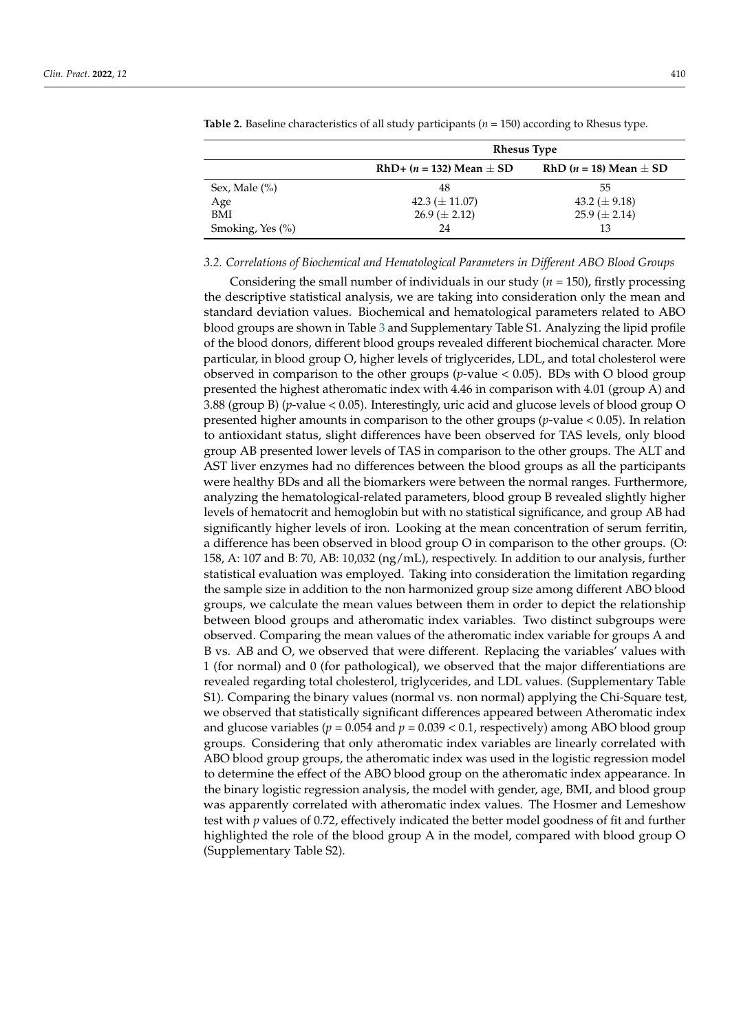|                      | <b>Rhesus Type</b>             |                                    |  |
|----------------------|--------------------------------|------------------------------------|--|
|                      | RhD+ $(n = 132)$ Mean $\pm$ SD | RhD ( <i>n</i> = 18) Mean $\pm$ SD |  |
| Sex, Male $(\% )$    | 48                             | 55                                 |  |
| Age                  | 42.3 ( $\pm$ 11.07)            | 43.2 ( $\pm$ 9.18)                 |  |
| <b>BMI</b>           | $26.9 \ (\pm 2.12)$            | $25.9 \ (\pm 2.14)$                |  |
| Smoking, Yes $(\% )$ | 24                             | 13                                 |  |

<span id="page-4-0"></span>**Table 2.** Baseline characteristics of all study participants (*n* = 150) according to Rhesus type.

#### *3.2. Correlations of Biochemical and Hematological Parameters in Different ABO Blood Groups*

Considering the small number of individuals in our study (*n* = 150), firstly processing the descriptive statistical analysis, we are taking into consideration only the mean and standard deviation values. Biochemical and hematological parameters related to ABO blood groups are shown in Table [3](#page-5-0) and Supplementary Table S1. Analyzing the lipid profile of the blood donors, different blood groups revealed different biochemical character. More particular, in blood group O, higher levels of triglycerides, LDL, and total cholesterol were observed in comparison to the other groups (*p*-value < 0.05). BDs with O blood group presented the highest atheromatic index with 4.46 in comparison with 4.01 (group A) and 3.88 (group B) (*p*-value < 0.05). Interestingly, uric acid and glucose levels of blood group O presented higher amounts in comparison to the other groups (*p*-value < 0.05). In relation to antioxidant status, slight differences have been observed for TAS levels, only blood group AB presented lower levels of TAS in comparison to the other groups. The ALT and AST liver enzymes had no differences between the blood groups as all the participants were healthy BDs and all the biomarkers were between the normal ranges. Furthermore, analyzing the hematological-related parameters, blood group B revealed slightly higher levels of hematocrit and hemoglobin but with no statistical significance, and group AB had significantly higher levels of iron. Looking at the mean concentration of serum ferritin, a difference has been observed in blood group O in comparison to the other groups. (O: 158, A: 107 and B: 70, AB: 10,032 (ng/mL), respectively. In addition to our analysis, further statistical evaluation was employed. Taking into consideration the limitation regarding the sample size in addition to the non harmonized group size among different ABO blood groups, we calculate the mean values between them in order to depict the relationship between blood groups and atheromatic index variables. Two distinct subgroups were observed. Comparing the mean values of the atheromatic index variable for groups A and B vs. AB and O, we observed that were different. Replacing the variables' values with 1 (for normal) and 0 (for pathological), we observed that the major differentiations are revealed regarding total cholesterol, triglycerides, and LDL values. (Supplementary Table S1). Comparing the binary values (normal vs. non normal) applying the Chi-Square test, we observed that statistically significant differences appeared between Atheromatic index and glucose variables ( $p = 0.054$  and  $p = 0.039 < 0.1$ , respectively) among ABO blood group groups. Considering that only atheromatic index variables are linearly correlated with ABO blood group groups, the atheromatic index was used in the logistic regression model to determine the effect of the ABO blood group on the atheromatic index appearance. In the binary logistic regression analysis, the model with gender, age, BMI, and blood group was apparently correlated with atheromatic index values. The Hosmer and Lemeshow test with *p* values of 0.72, effectively indicated the better model goodness of fit and further highlighted the role of the blood group A in the model, compared with blood group O (Supplementary Table S2).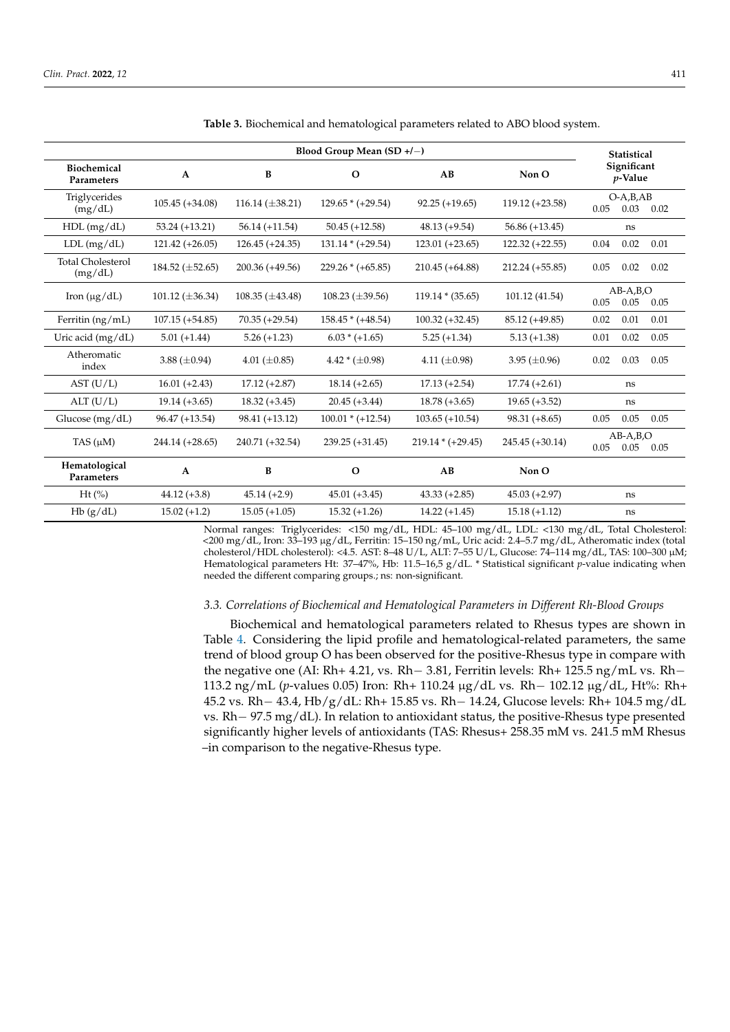| Blood Group Mean $(SD +/-)$         |                      |                        |                        |                     | <b>Statistical</b> |                                    |
|-------------------------------------|----------------------|------------------------|------------------------|---------------------|--------------------|------------------------------------|
| <b>Biochemical</b><br>Parameters    | A                    | B                      | $\mathbf{o}$           | AB                  | Non O              | Significant<br>$p$ -Value          |
| Triglycerides<br>(mg/dL)            | $105.45 (+34.08)$    | 116.14 $(\pm 38.21)$   | $129.65 * (+29.54)$    | $92.25 (+19.65)$    | $119.12 (+23.58)$  | $O-A,B,AB$<br>0.05<br>0.03<br>0.02 |
| $HDL$ (mg/dL)                       | $53.24 (+13.21)$     | $56.14 (+11.54)$       | $50.45 (+12.58)$       | $48.13 (+9.54)$     | $56.86 (+13.45)$   | ns                                 |
| $LDL$ (mg/dL)                       | $121.42 (+26.05)$    | $126.45 (+24.35)$      | $131.14 * (+29.54)$    | $123.01 (+23.65)$   | $122.32 (+22.55)$  | 0.02<br>0.04<br>0.01               |
| <b>Total Cholesterol</b><br>(mg/dL) | 184.52 $(\pm 52.65)$ | 200.36 (+49.56)        | $229.26 * (+65.85)$    | $210.45 (+64.88)$   | $212.24 (+55.85)$  | 0.05<br>0.02<br>0.02               |
| Iron $(\mu g/dL)$                   | 101.12 $(\pm 36.34)$ | $108.35 \ (\pm 43.48)$ | $108.23 \ (\pm 39.56)$ | $119.14 * (35.65)$  | 101.12 (41.54)     | $AB-A,B,O$<br>0.05<br>0.05<br>0.05 |
| Ferritin $(ng/mL)$                  | $107.15 (+54.85)$    | $70.35 (+29.54)$       | $158.45 * (+48.54)$    | $100.32 (+32.45)$   | 85.12 (+49.85)     | 0.02<br>0.01<br>0.01               |
| Uric acid (mg/dL)                   | $5.01 (+1.44)$       | $5.26 (+1.23)$         | $6.03 * (+1.65)$       | $5.25 (+1.34)$      | $5.13 (+1.38)$     | 0.01<br>0.02<br>0.05               |
| Atheromatic<br>index                | 3.88 $(\pm 0.94)$    | 4.01 ( $\pm$ 0.85)     | $4.42 * (\pm 0.98)$    | 4.11 $(\pm 0.98)$   | 3.95 $(\pm 0.96)$  | 0.03<br>0.05<br>0.02               |
| AST (U/L)                           | $16.01 (+2.43)$      | $17.12 (+2.87)$        | $18.14 (+2.65)$        | $17.13 (+2.54)$     | $17.74 (+2.61)$    | ns                                 |
| ALT (U/L)                           | $19.14 (+3.65)$      | $18.32 (+3.45)$        | $20.45 (+3.44)$        | $18.78 (+3.65)$     | $19.65 (+3.52)$    | ns                                 |
| Glucose $(mg/dL)$                   | $96.47 (+13.54)$     | $98.41 (+13.12)$       | $100.01 * (+12.54)$    | $103.65 (+10.54)$   | $98.31 (+8.65)$    | 0.05<br>0.05<br>0.05               |
| TAS $(\mu M)$                       | $244.14 (+28.65)$    | 240.71 (+32.54)        | $239.25 (+31.45)$      | $219.14 * (+29.45)$ | 245.45 (+30.14)    | $AB-A,B,O$<br>0.05<br>0.05<br>0.05 |
| Hematological<br><b>Parameters</b>  | A                    | B                      | $\Omega$               | AB                  | Non O              |                                    |
| $Ht$ (%)                            | $44.12 (+3.8)$       | $45.14 (+2.9)$         | $45.01 (+3.45)$        | $43.33 (+2.85)$     | $45.03 (+2.97)$    | ns                                 |
| Hb(g/dL)                            | $15.02 (+1.2)$       | $15.05 (+1.05)$        | $15.32 (+1.26)$        | $14.22 (+1.45)$     | $15.18 (+1.12)$    | ns                                 |

<span id="page-5-0"></span>**Table 3.** Biochemical and hematological parameters related to ABO blood system.

Normal ranges: Triglycerides: <150 mg/dL, HDL: 45–100 mg/dL, LDL: <130 mg/dL, Total Cholesterol: <200 mg/dL, Iron: 33–193 µg/dL, Ferritin: 15–150 ng/mL, Uric acid: 2.4–5.7 mg/dL, Atheromatic index (total cholesterol/HDL cholesterol): <4.5. AST: 8–48 U/L, ALT: 7–55 U/L, Glucose: 74–114 mg/dL, TAS: 100–300 µM; Hematological parameters Ht: 37–47%, Hb: 11.5–16,5 g/dL. \* Statistical significant *p*-value indicating when needed the different comparing groups.; ns: non-significant.

## *3.3. Correlations of Biochemical and Hematological Parameters in Different Rh-Blood Groups*

Biochemical and hematological parameters related to Rhesus types are shown in Table [4.](#page-6-0) Considering the lipid profile and hematological-related parameters, the same trend of blood group O has been observed for the positive-Rhesus type in compare with the negative one (AI: Rh+ 4.21, vs. Rh− 3.81, Ferritin levels: Rh+ 125.5 ng/mL vs. Rh− 113.2 ng/mL (*p*-values 0.05) Iron: Rh+ 110.24 µg/dL vs. Rh− 102.12 µg/dL, Ht%: Rh+ 45.2 vs. Rh− 43.4, Hb/g/dL: Rh+ 15.85 vs. Rh− 14.24, Glucose levels: Rh+ 104.5 mg/dL vs. Rh− 97.5 mg/dL). In relation to antioxidant status, the positive-Rhesus type presented significantly higher levels of antioxidants (TAS: Rhesus+ 258.35 mM vs. 241.5 mM Rhesus –in comparison to the negative-Rhesus type.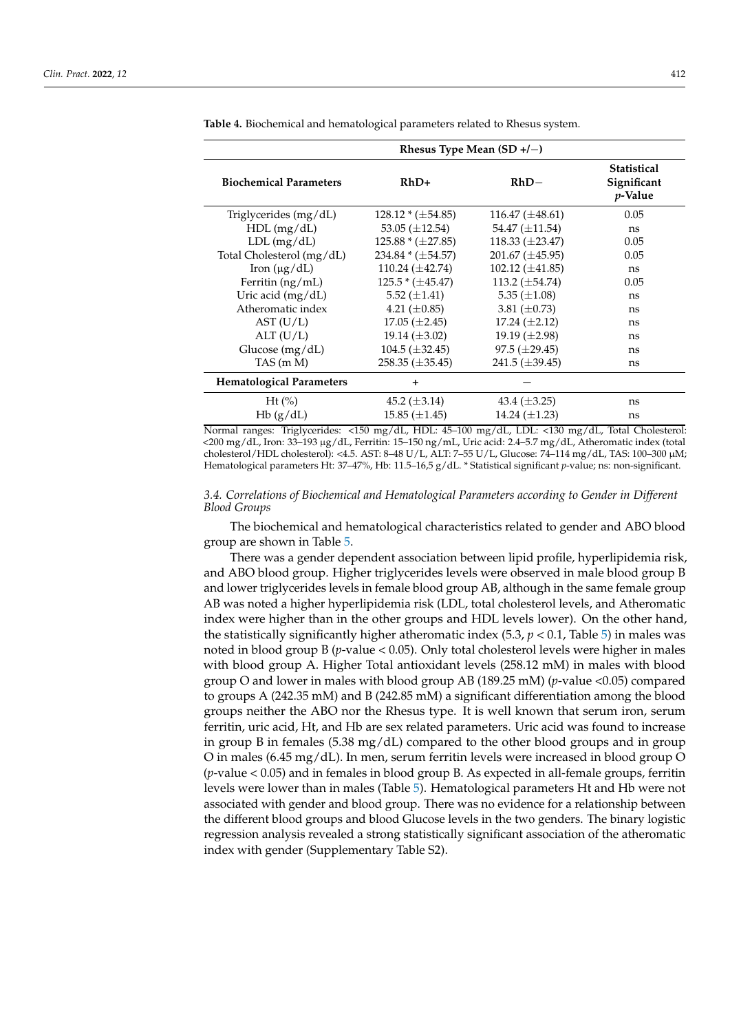| Rhesus Type Mean $(SD+/-)$      |                        |                        |                                              |  |  |
|---------------------------------|------------------------|------------------------|----------------------------------------------|--|--|
| <b>Biochemical Parameters</b>   | $RhD+$                 | $RhD-$                 | <b>Statistical</b><br>Significant<br>p-Value |  |  |
| Triglycerides (mg/dL)           | $128.12 * (\pm 54.85)$ | $116.47 \ (\pm 48.61)$ | 0.05                                         |  |  |
| $HDL$ (mg/dL)                   | 53.05 $(\pm 12.54)$    | 54.47 $(\pm 11.54)$    | ns                                           |  |  |
| LDL (mg/dL)                     | $125.88 * (\pm 27.85)$ | $118.33 \ (\pm 23.47)$ | 0.05                                         |  |  |
| Total Cholesterol (mg/dL)       | $234.84 * (\pm 54.57)$ | $201.67 \ (\pm 45.95)$ | 0.05                                         |  |  |
| Iron $(\mu g/dL)$               | 110.24 $(\pm 42.74)$   | 102.12 $(\pm 41.85)$   | ns                                           |  |  |
| Ferritin (ng/mL)                | $125.5 * (\pm 45.47)$  | 113.2 $(\pm 54.74)$    | 0.05                                         |  |  |
| Uric acid (mg/dL)               | 5.52 $(\pm 1.41)$      | 5.35 $(\pm 1.08)$      | ns                                           |  |  |
| Atheromatic index               | 4.21 $(\pm 0.85)$      | 3.81 $(\pm 0.73)$      | ns                                           |  |  |
| AST (U/L)                       | $17.05 (\pm 2.45)$     | $17.24 \ (\pm 2.12)$   | ns                                           |  |  |
| ALT(U/L)                        | 19.14 $(\pm 3.02)$     | 19.19 $(\pm 2.98)$     | ns                                           |  |  |
| Glucose (mg/dL)                 | $104.5 (\pm 32.45)$    | $97.5 \ (\pm 29.45)$   | ns                                           |  |  |
| TAS (m M)                       | $258.35 \ (\pm 35.45)$ | 241.5 $(\pm 39.45)$    | ns                                           |  |  |
| <b>Hematological Parameters</b> | $\ddot{}$              |                        |                                              |  |  |
| $Ht$ (%)                        | 45.2 $(\pm 3.14)$      | 43.4 $(\pm 3.25)$      | ns                                           |  |  |
| Hb(g/dL)                        | $15.85 \ (\pm 1.45)$   | 14.24 $(\pm 1.23)$     | ns                                           |  |  |

<span id="page-6-0"></span>**Table 4.** Biochemical and hematological parameters related to Rhesus system.

Normal ranges: Triglycerides: <150 mg/dL, HDL: 45–100 mg/dL, LDL: <130 mg/dL, Total Cholesterol: <200 mg/dL, Iron: 33–193 µg/dL, Ferritin: 15–150 ng/mL, Uric acid: 2.4–5.7 mg/dL, Atheromatic index (total cholesterol/HDL cholesterol): <4.5. AST: 8–48 U/L, ALT: 7–55 U/L, Glucose: 74–114 mg/dL, TAS: 100–300 µM; Hematological parameters Ht: 37–47%, Hb: 11.5–16,5 g/dL. \* Statistical significant *p*-value; ns: non-significant.

*3.4. Correlations of Biochemical and Hematological Parameters according to Gender in Different Blood Groups*

The biochemical and hematological characteristics related to gender and ABO blood group are shown in Table [5.](#page-7-0)

There was a gender dependent association between lipid profile, hyperlipidemia risk, and ABO blood group. Higher triglycerides levels were observed in male blood group B and lower triglycerides levels in female blood group AB, although in the same female group AB was noted a higher hyperlipidemia risk (LDL, total cholesterol levels, and Atheromatic index were higher than in the other groups and HDL levels lower). On the other hand, the statistically significantly higher atheromatic index  $(5.3, p < 0.1,$  Table [5\)](#page-7-0) in males was noted in blood group B (*p*-value < 0.05). Only total cholesterol levels were higher in males with blood group A. Higher Total antioxidant levels (258.12 mM) in males with blood group O and lower in males with blood group AB (189.25 mM) (*p*-value <0.05) compared to groups A (242.35 mM) and B (242.85 mM) a significant differentiation among the blood groups neither the ABO nor the Rhesus type. It is well known that serum iron, serum ferritin, uric acid, Ht, and Hb are sex related parameters. Uric acid was found to increase in group B in females (5.38 mg/dL) compared to the other blood groups and in group O in males (6.45 mg/dL). In men, serum ferritin levels were increased in blood group O (*p*-value < 0.05) and in females in blood group B. As expected in all-female groups, ferritin levels were lower than in males (Table [5\)](#page-7-0). Hematological parameters Ht and Hb were not associated with gender and blood group. There was no evidence for a relationship between the different blood groups and blood Glucose levels in the two genders. The binary logistic regression analysis revealed a strong statistically significant association of the atheromatic index with gender (Supplementary Table S2).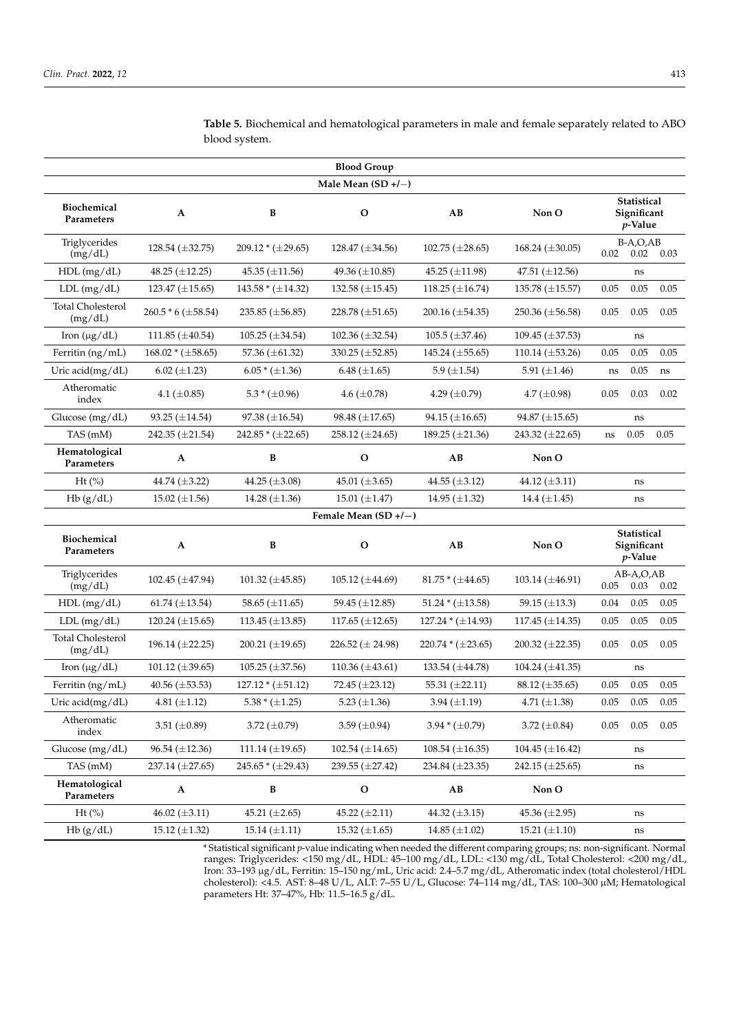| <b>Blood Group</b>                  |                        |                        |                        |                        |                        |                                          |  |
|-------------------------------------|------------------------|------------------------|------------------------|------------------------|------------------------|------------------------------------------|--|
|                                     |                        |                        | Male Mean (SD +/-)     |                        |                        |                                          |  |
| <b>Biochemical</b><br>Parameters    | A                      | B                      | $\mathbf{O}$           | AB                     | Non O                  | Statistical<br>Significant<br>$p$ -Value |  |
| Triglycerides<br>(mg/dL)            | 128.54 $(\pm 32.75)$   | $209.12 * (\pm 29.65)$ | 128.47 $(\pm 34.56)$   | $102.75 \ (\pm 28.65)$ | 168.24 $(\pm 30.05)$   | $B-A,O,AB$<br>$0.02$ 0.02 0.03           |  |
| $HDL$ (mg/dL)                       | 48.25 $(\pm 12.25)$    | 45.35 $(\pm 11.56)$    | 49.36 $(\pm 10.85)$    | 45.25 ( $\pm$ 11.98)   | 47.51 $(\pm 12.56)$    | ns                                       |  |
| $LDL$ (mg/dL)                       | 123.47 $(\pm 15.65)$   | $143.58 * (\pm 14.32)$ | 132.58 $(\pm 15.45)$   | 118.25 $(\pm 16.74)$   | 135.78 $(\pm 15.57)$   | 0.05<br>0.05<br>0.05                     |  |
| <b>Total Cholesterol</b><br>(mg/dL) | 260.5 * 6 (±58.54)     | 235.85 $(\pm 56.85)$   | 228.78 $(\pm 51.65)$   | 200.16 $(\pm 54.35)$   | 250.36 $(\pm 56.58)$   | 0.05<br>0.05<br>0.05                     |  |
| Iron $(\mu g/dL)$                   | 111.85 $(\pm 40.54)$   | 105.25 $(\pm 34.54)$   | 102.36 $(\pm 32.54)$   | 105.5 $(\pm 37.46)$    | 109.45 $(\pm 37.53)$   | ns                                       |  |
| Ferritin (ng/mL)                    | $168.02 * (\pm 58.65)$ | 57.36 (±61.32)         | 330.25 (±52.85)        | 145.24 $(\pm 55.65)$   | 110.14 $(\pm 53.26)$   | 0.05<br>0.05<br>0.05                     |  |
| Uric acid(mg/dL)                    | $6.02 (\pm 1.23)$      | $6.05 * (\pm 1.36)$    | $6.48 \ (\pm 1.65)$    | 5.9 $(\pm 1.54)$       | 5.91 $(\pm 1.46)$      | 0.05<br>ns<br>ns                         |  |
| Atheromatic<br>index                | 4.1 $(\pm 0.85)$       | $5.3 * (\pm 0.96)$     | 4.6 $(\pm 0.78)$       | 4.29 $(\pm 0.79)$      | 4.7 $(\pm 0.98)$       | 0.05<br>0.03<br>0.02                     |  |
| Glucose (mg/dL)                     | 93.25 $(\pm 14.54)$    | 97.38 $(\pm 16.54)$    | 98.48 $(\pm 17.65)$    | $94.15 \ (\pm 16.65)$  | 94.87 $(\pm 15.65)$    | ns                                       |  |
| TAS (mM)                            | 242.35 $(\pm 21.54)$   | $242.85 * (\pm 22.65)$ | 258.12 $(\pm 24.65)$   | 189.25 $(\pm 21.36)$   | 243.32 $(\pm 22.65)$   | 0.05<br>0.05<br>$\rm ns$                 |  |
| Hematological<br>Parameters         | $\mathbf{A}$           | $\, {\bf B}$           | $\mathbf{o}$           | AB                     | Non O                  |                                          |  |
| $Ht$ (%)                            | 44.74 (±3.22)          | 44.25 (±3.08)          | 45.01 $(\pm 3.65)$     | 44.55 (±3.12)          | 44.12 $(\pm 3.11)$     | ns                                       |  |
| Hb(g/dL)                            | 15.02 $(\pm 1.56)$     | 14.28 $(\pm 1.36)$     | 15.01 $(\pm 1.47)$     | 14.95 $(\pm 1.32)$     | 14.4 $(\pm 1.45)$      | ns                                       |  |
|                                     |                        |                        | Female Mean (SD +/-)   |                        |                        |                                          |  |
| <b>Biochemical</b><br>Parameters    | A                      | $\, {\bf B}$           | $\mathbf O$            | AB                     | Non O                  | Statistical<br>Significant<br>$p$ -Value |  |
| Triglycerides<br>(mg/dL)            | 102.45 (±47.94)        | 101.32 $(\pm 45.85)$   | 105.12 $(\pm 44.69)$   | $81.75 * (\pm 44.65)$  | 103.14 $(\pm 46.91)$   | AB-A,O,AB<br>0.03<br>0.05<br>0.02        |  |
| $HDL$ (mg/dL)                       | 61.74 $(\pm 13.54)$    | 58.65 $(\pm 11.65)$    | 59.45 $(\pm 12.85)$    | 51.24 * $(\pm 13.58)$  | 59.15 ( $\pm$ 13.3)    | 0.04<br>0.05<br>0.05                     |  |
| $LDL$ (mg/dL)                       | 120.24 $(\pm 15.65)$   | 113.45 $(\pm 13.85)$   | 117.65 $(\pm 12.65)$   | $127.24 * (\pm 14.93)$ | 117.45 $(\pm 14.35)$   | 0.05<br>0.05<br>0.05                     |  |
| <b>Total Cholesterol</b><br>(mg/dL) | 196.14 (±22.25)        | 200.21 $(\pm 19.65)$   | 226.52 ( $\pm$ 24.98)  | $220.74 * (\pm 23.65)$ | 200.32 $(\pm 22.35)$   | 0.05<br>0.05<br>0.05                     |  |
| Iron $(\mu g/dL)$                   | 101.12 $(\pm 39.65)$   | $105.25 \ (\pm 37.56)$ | 110.36 $(\pm 43.61)$   | 133.54 (±44.78)        | 104.24 $(\pm 41.35)$   | ns                                       |  |
| Ferritin (ng/mL)                    | 40.56 $(\pm 53.53)$    | $127.12 * (\pm 51.12)$ | 72.45 (±23.12)         | 55.31 $(\pm 22.11)$    | $88.12 \ (\pm 35.65)$  | 0.05<br>0.05<br>0.05                     |  |
| Uric acid(mg/dL)                    | 4.81 $(\pm 1.12)$      | $5.38 * (\pm 1.25)$    | 5.23 $(\pm 1.36)$      | 3.94 $(\pm 1.19)$      | 4.71 $(\pm 1.38)$      | 0.05<br>0.05<br>0.05                     |  |
| Atheromatic<br>index                | 3.51 $(\pm 0.89)$      | 3.72 $(\pm 0.79)$      | 3.59 ( $\pm$ 0.94)     | $3.94*(\pm 0.79)$      | 3.72 ( $\pm 0.84$ )    | 0.05<br>0.05<br>0.05                     |  |
| Glucose (mg/dL)                     | $96.54 \ (\pm 12.36)$  | $111.14 \ (\pm 19.65)$ | $102.54 \ (\pm 14.65)$ | $108.54 \ (\pm 16.35)$ | $104.45 \ (\pm 16.42)$ | ns                                       |  |
| TAS (mM)                            | 237.14 (±27.65)        | $245.65 * (\pm 29.43)$ | 239.55 $(\pm 27.42)$   | 234.84 (±23.35)        | $242.15 \ (\pm 25.65)$ | ns                                       |  |
| Hematological<br>Parameters         | A                      | В                      | $\mathbf O$            | AB                     | Non O                  |                                          |  |
| $Ht$ (%)                            | 46.02 $(\pm 3.11)$     | 45.21 $(\pm 2.65)$     | 45.22 $(\pm 2.11)$     | 44.32 $(\pm 3.15)$     | 45.36 $(\pm 2.95)$     | ns                                       |  |
| Hb(g/dL)                            | 15.12 $(\pm 1.32)$     | $15.14 \ (\pm 1.11)$   | $15.32 \ (\pm 1.65)$   | 14.85 $(\pm 1.02)$     | 15.21 $(\pm 1.10)$     | ns                                       |  |
|                                     |                        |                        |                        |                        |                        |                                          |  |

<span id="page-7-0"></span>**Table 5.** Biochemical and hematological parameters in male and female separately related to ABO blood system.

\* Statistical significant *p*-value indicating when needed the different comparing groups; ns: non-significant. Normal ranges: Triglycerides: <150 mg/dL, HDL: 45–100 mg/dL, LDL: <130 mg/dL, Total Cholesterol: <200 mg/dL, Iron: 33–193 µg/dL, Ferritin: 15–150 ng/mL, Uric acid: 2.4–5.7 mg/dL, Atheromatic index (total cholesterol/HDL cholesterol): <4.5. AST: 8–48 U/L, ALT: 7–55 U/L, Glucose: 74–114 mg/dL, TAS: 100–300 µM; Hematological parameters Ht: 37–47%, Hb: 11.5–16.5 g/dL.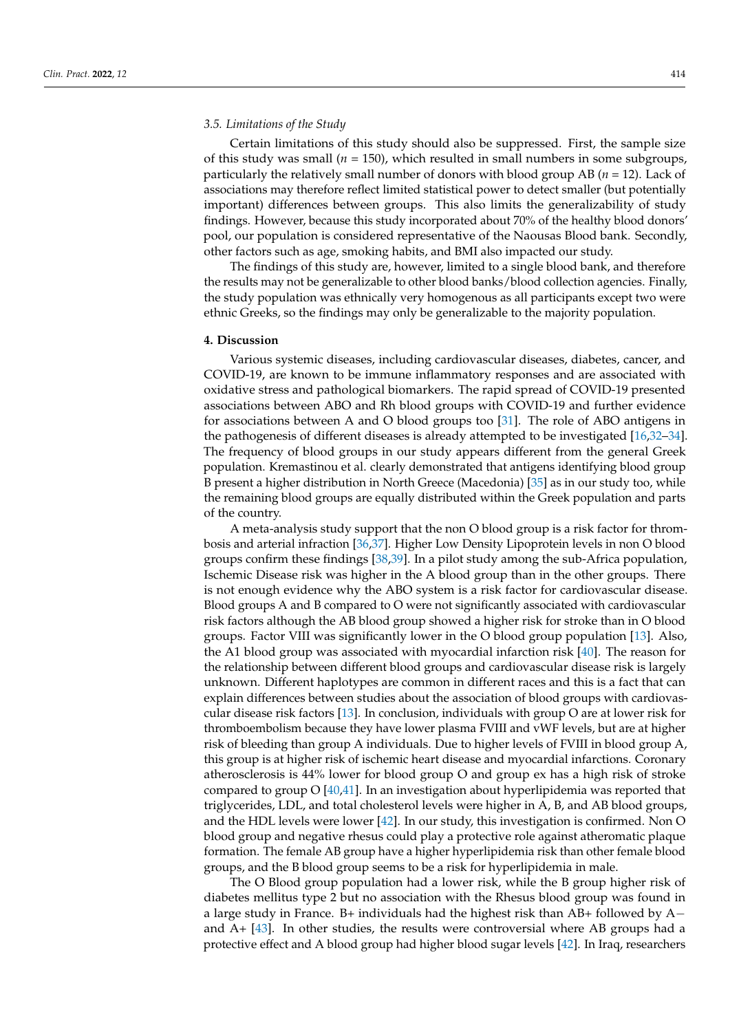#### *3.5. Limitations of the Study*

Certain limitations of this study should also be suppressed. First, the sample size of this study was small ( $n = 150$ ), which resulted in small numbers in some subgroups, particularly the relatively small number of donors with blood group AB (*n* = 12). Lack of associations may therefore reflect limited statistical power to detect smaller (but potentially important) differences between groups. This also limits the generalizability of study findings. However, because this study incorporated about 70% of the healthy blood donors' pool, our population is considered representative of the Naousas Blood bank. Secondly, other factors such as age, smoking habits, and BMI also impacted our study.

The findings of this study are, however, limited to a single blood bank, and therefore the results may not be generalizable to other blood banks/blood collection agencies. Finally, the study population was ethnically very homogenous as all participants except two were ethnic Greeks, so the findings may only be generalizable to the majority population.

## **4. Discussion**

Various systemic diseases, including cardiovascular diseases, diabetes, cancer, and COVID-19, are known to be immune inflammatory responses and are associated with oxidative stress and pathological biomarkers. The rapid spread of COVID-19 presented associations between ABO and Rh blood groups with COVID-19 and further evidence for associations between A and O blood groups too [\[31\]](#page-11-20). The role of ABO antigens in the pathogenesis of different diseases is already attempted to be investigated [\[16,](#page-11-6)[32](#page-11-21)[–34\]](#page-12-0). The frequency of blood groups in our study appears different from the general Greek population. Kremastinou et al. clearly demonstrated that antigens identifying blood group B present a higher distribution in North Greece (Macedonia) [\[35\]](#page-12-1) as in our study too, while the remaining blood groups are equally distributed within the Greek population and parts of the country.

A meta-analysis study support that the non O blood group is a risk factor for thrombosis and arterial infraction [\[36](#page-12-2)[,37\]](#page-12-3). Higher Low Density Lipoprotein levels in non O blood groups confirm these findings [\[38](#page-12-4)[,39\]](#page-12-5). In a pilot study among the sub-Africa population, Ischemic Disease risk was higher in the A blood group than in the other groups. There is not enough evidence why the ABO system is a risk factor for cardiovascular disease. Blood groups A and B compared to O were not significantly associated with cardiovascular risk factors although the AB blood group showed a higher risk for stroke than in O blood groups. Factor VIII was significantly lower in the O blood group population [\[13\]](#page-11-4). Also, the A1 blood group was associated with myocardial infarction risk [\[40\]](#page-12-6). The reason for the relationship between different blood groups and cardiovascular disease risk is largely unknown. Different haplotypes are common in different races and this is a fact that can explain differences between studies about the association of blood groups with cardiovascular disease risk factors [\[13\]](#page-11-4). In conclusion, individuals with group O are at lower risk for thromboembolism because they have lower plasma FVIII and vWF levels, but are at higher risk of bleeding than group A individuals. Due to higher levels of FVIII in blood group A, this group is at higher risk of ischemic heart disease and myocardial infarctions. Coronary atherosclerosis is 44% lower for blood group O and group ex has a high risk of stroke compared to group O [\[40,](#page-12-6)[41\]](#page-12-7). In an investigation about hyperlipidemia was reported that triglycerides, LDL, and total cholesterol levels were higher in A, B, and AB blood groups, and the HDL levels were lower [\[42\]](#page-12-8). In our study, this investigation is confirmed. Non O blood group and negative rhesus could play a protective role against atheromatic plaque formation. The female AB group have a higher hyperlipidemia risk than other female blood groups, and the B blood group seems to be a risk for hyperlipidemia in male.

The O Blood group population had a lower risk, while the B group higher risk of diabetes mellitus type 2 but no association with the Rhesus blood group was found in a large study in France. B+ individuals had the highest risk than  $AB+$  followed by  $A$ and A+ [\[43\]](#page-12-9). In other studies, the results were controversial where AB groups had a protective effect and A blood group had higher blood sugar levels [\[42\]](#page-12-8). In Iraq, researchers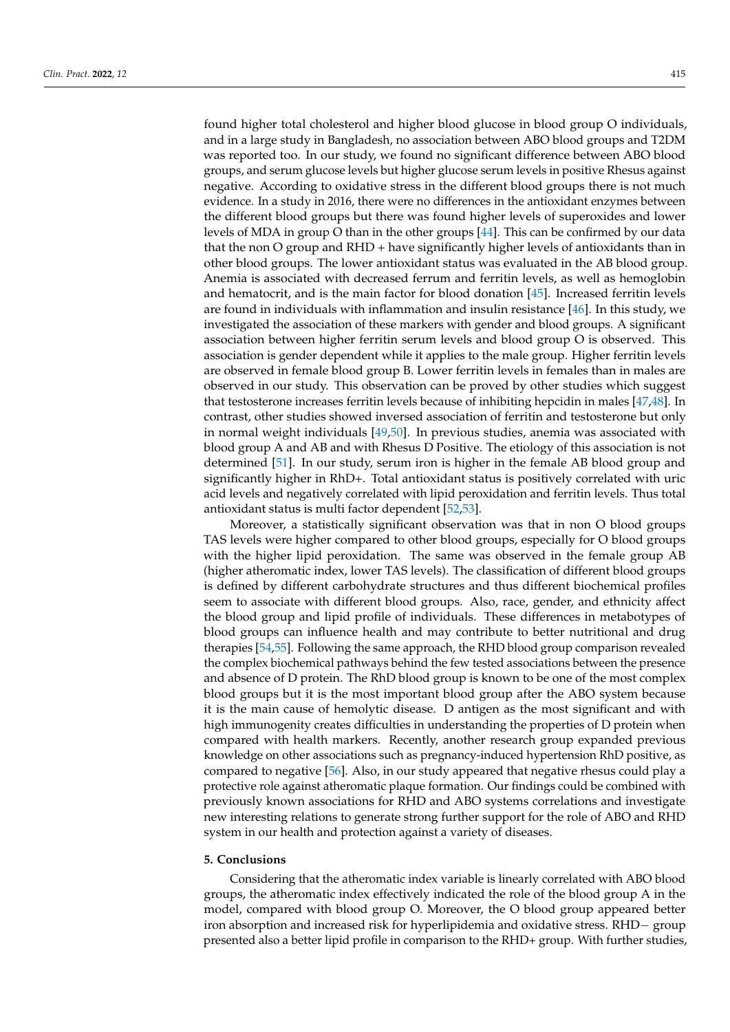found higher total cholesterol and higher blood glucose in blood group O individuals, and in a large study in Bangladesh, no association between ABO blood groups and T2DM was reported too. In our study, we found no significant difference between ABO blood groups, and serum glucose levels but higher glucose serum levels in positive Rhesus against negative. According to oxidative stress in the different blood groups there is not much evidence. In a study in 2016, there were no differences in the antioxidant enzymes between the different blood groups but there was found higher levels of superoxides and lower levels of MDA in group O than in the other groups [\[44\]](#page-12-10). This can be confirmed by our data that the non O group and RHD + have significantly higher levels of antioxidants than in other blood groups. The lower antioxidant status was evaluated in the AB blood group. Anemia is associated with decreased ferrum and ferritin levels, as well as hemoglobin and hematocrit, and is the main factor for blood donation [\[45\]](#page-12-11). Increased ferritin levels are found in individuals with inflammation and insulin resistance [\[46\]](#page-12-12). In this study, we investigated the association of these markers with gender and blood groups. A significant association between higher ferritin serum levels and blood group O is observed. This association is gender dependent while it applies to the male group. Higher ferritin levels are observed in female blood group B. Lower ferritin levels in females than in males are observed in our study. This observation can be proved by other studies which suggest that testosterone increases ferritin levels because of inhibiting hepcidin in males [\[47](#page-12-13)[,48\]](#page-12-14). In contrast, other studies showed inversed association of ferritin and testosterone but only in normal weight individuals [\[49,](#page-12-15)[50\]](#page-12-16). In previous studies, anemia was associated with blood group A and AB and with Rhesus D Positive. The etiology of this association is not determined [\[51\]](#page-12-17). In our study, serum iron is higher in the female AB blood group and significantly higher in RhD+. Total antioxidant status is positively correlated with uric acid levels and negatively correlated with lipid peroxidation and ferritin levels. Thus total antioxidant status is multi factor dependent [\[52,](#page-12-18)[53\]](#page-12-19).

Moreover, a statistically significant observation was that in non O blood groups TAS levels were higher compared to other blood groups, especially for O blood groups with the higher lipid peroxidation. The same was observed in the female group AB (higher atheromatic index, lower TAS levels). The classification of different blood groups is defined by different carbohydrate structures and thus different biochemical profiles seem to associate with different blood groups. Also, race, gender, and ethnicity affect the blood group and lipid profile of individuals. These differences in metabotypes of blood groups can influence health and may contribute to better nutritional and drug therapies [\[54,](#page-12-20)[55\]](#page-12-21). Following the same approach, the RHD blood group comparison revealed the complex biochemical pathways behind the few tested associations between the presence and absence of D protein. The RhD blood group is known to be one of the most complex blood groups but it is the most important blood group after the ABO system because it is the main cause of hemolytic disease. D antigen as the most significant and with high immunogenity creates difficulties in understanding the properties of D protein when compared with health markers. Recently, another research group expanded previous knowledge on other associations such as pregnancy-induced hypertension RhD positive, as compared to negative [\[56\]](#page-12-22). Also, in our study appeared that negative rhesus could play a protective role against atheromatic plaque formation. Our findings could be combined with previously known associations for RHD and ABO systems correlations and investigate new interesting relations to generate strong further support for the role of ABO and RHD system in our health and protection against a variety of diseases.

#### **5. Conclusions**

Considering that the atheromatic index variable is linearly correlated with ABO blood groups, the atheromatic index effectively indicated the role of the blood group A in the model, compared with blood group O. Moreover, the O blood group appeared better iron absorption and increased risk for hyperlipidemia and oxidative stress. RHD− group presented also a better lipid profile in comparison to the RHD+ group. With further studies,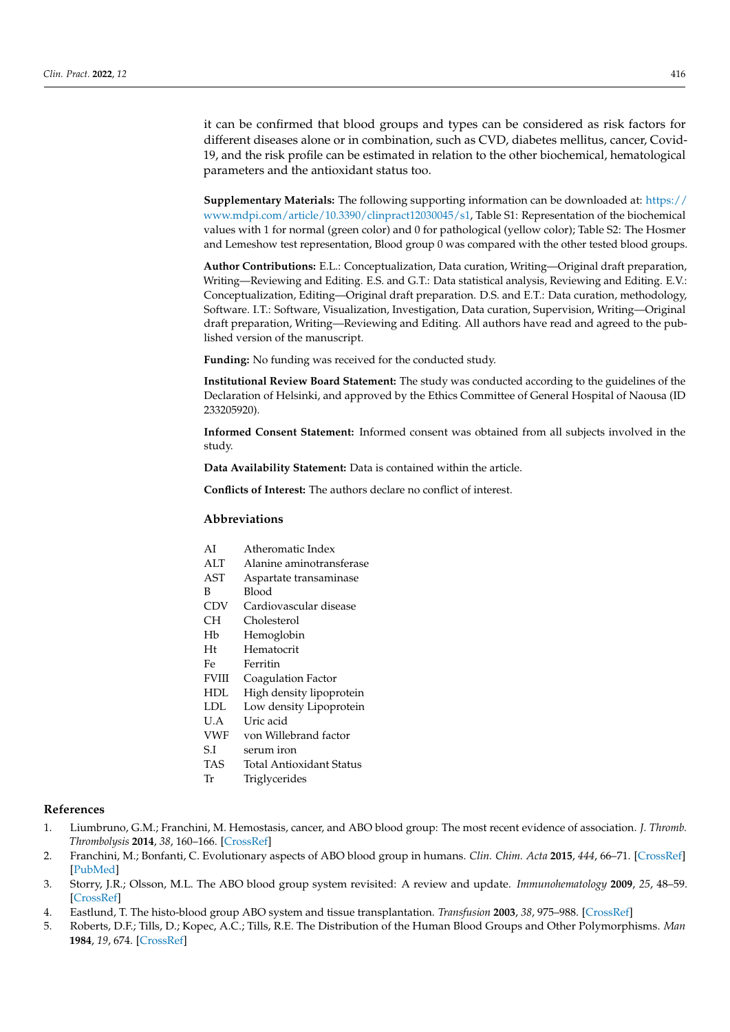it can be confirmed that blood groups and types can be considered as risk factors for different diseases alone or in combination, such as CVD, diabetes mellitus, cancer, Covid-19, and the risk profile can be estimated in relation to the other biochemical, hematological parameters and the antioxidant status too.

**Supplementary Materials:** The following supporting information can be downloaded at: [https://](https://www.mdpi.com/article/10.3390/clinpract12030045/s1) [www.mdpi.com/article/10.3390/clinpract12030045/s1,](https://www.mdpi.com/article/10.3390/clinpract12030045/s1) Table S1: Representation of the biochemical values with 1 for normal (green color) and 0 for pathological (yellow color); Table S2: The Hosmer and Lemeshow test representation, Blood group 0 was compared with the other tested blood groups.

**Author Contributions:** E.L.: Conceptualization, Data curation, Writing—Original draft preparation, Writing—Reviewing and Editing. E.S. and G.T.: Data statistical analysis, Reviewing and Editing. E.V.: Conceptualization, Editing—Original draft preparation. D.S. and E.T.: Data curation, methodology, Software. I.T.: Software, Visualization, Investigation, Data curation, Supervision, Writing—Original draft preparation, Writing—Reviewing and Editing. All authors have read and agreed to the published version of the manuscript.

**Funding:** No funding was received for the conducted study.

**Institutional Review Board Statement:** The study was conducted according to the guidelines of the Declaration of Helsinki, and approved by the Ethics Committee of General Hospital of Naousa (ID 233205920).

**Informed Consent Statement:** Informed consent was obtained from all subjects involved in the study.

**Data Availability Statement:** Data is contained within the article.

**Conflicts of Interest:** The authors declare no conflict of interest.

## **Abbreviations**

- AI Atheromatic Index
- ALT Alanine aminotransferase
- AST Aspartate transaminase
- B Blood
- CDV Cardiovascular disease
- CH Cholesterol
- Hb Hemoglobin
- Ht Hematocrit
- Fe Ferritin
- FVIII Coagulation Factor
- HDL High density lipoprotein
- LDL Low density Lipoprotein
- U.A Uric acid
- VWF von Willebrand factor
- S.I serum iron
- TAS Total Antioxidant Status
- Tr Triglycerides

## **References**

- <span id="page-10-0"></span>1. Liumbruno, G.M.; Franchini, M. Hemostasis, cancer, and ABO blood group: The most recent evidence of association. *J. Thromb. Thrombolysis* **2014**, *38*, 160–166. [\[CrossRef\]](http://doi.org/10.1007/s11239-013-1027-4)
- <span id="page-10-1"></span>2. Franchini, M.; Bonfanti, C. Evolutionary aspects of ABO blood group in humans. *Clin. Chim. Acta* **2015**, *444*, 66–71. [\[CrossRef\]](http://doi.org/10.1016/j.cca.2015.02.016) [\[PubMed\]](http://www.ncbi.nlm.nih.gov/pubmed/25689219)
- <span id="page-10-2"></span>3. Storry, J.R.; Olsson, M.L. The ABO blood group system revisited: A review and update. *Immunohematology* **2009**, *25*, 48–59. [\[CrossRef\]](http://doi.org/10.21307/immunohematology-2019-231)
- <span id="page-10-3"></span>4. Eastlund, T. The histo-blood group ABO system and tissue transplantation. *Transfusion* **2003**, *38*, 975–988. [\[CrossRef\]](http://doi.org/10.1046/j.1537-2995.1998.381098440863.x)
- <span id="page-10-4"></span>5. Roberts, D.F.; Tills, D.; Kopec, A.C.; Tills, R.E. The Distribution of the Human Blood Groups and Other Polymorphisms. *Man* **1984**, *19*, 674. [\[CrossRef\]](http://doi.org/10.2307/2802337)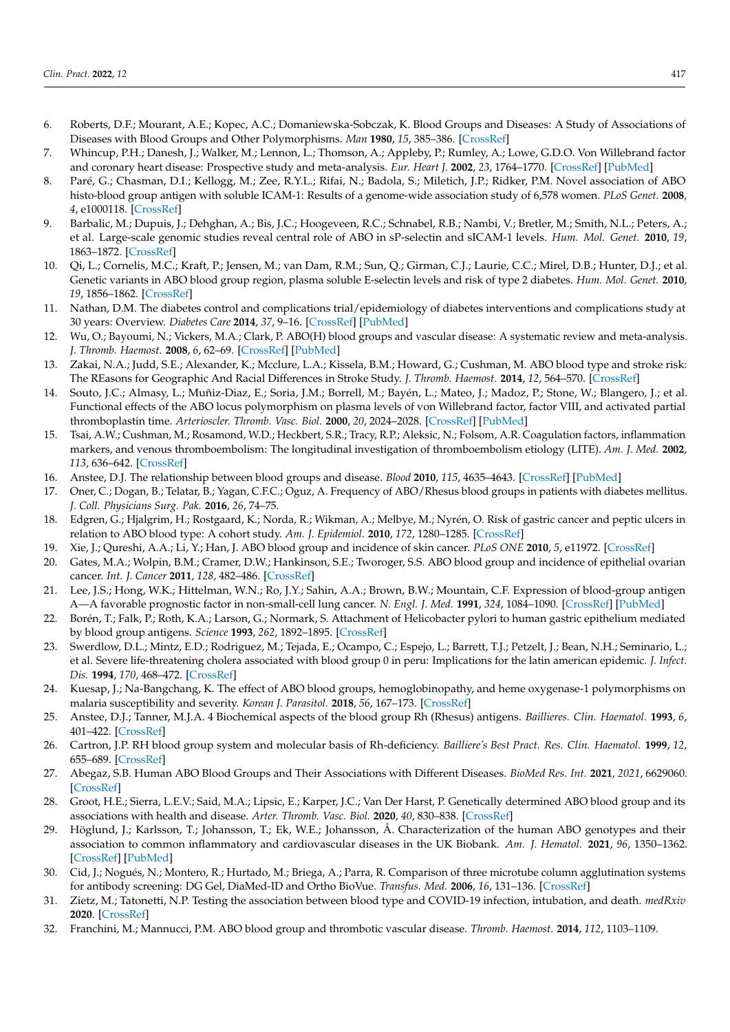- <span id="page-11-0"></span>6. Roberts, D.F.; Mourant, A.E.; Kopec, A.C.; Domaniewska-Sobczak, K. Blood Groups and Diseases: A Study of Associations of Diseases with Blood Groups and Other Polymorphisms. *Man* **1980**, *15*, 385–386. [\[CrossRef\]](http://doi.org/10.2307/2801681)
- <span id="page-11-1"></span>7. Whincup, P.H.; Danesh, J.; Walker, M.; Lennon, L.; Thomson, A.; Appleby, P.; Rumley, A.; Lowe, G.D.O. Von Willebrand factor and coronary heart disease: Prospective study and meta-analysis. *Eur. Heart J.* **2002**, *23*, 1764–1770. [\[CrossRef\]](http://doi.org/10.1053/euhj.2001.3237) [\[PubMed\]](http://www.ncbi.nlm.nih.gov/pubmed/12419296)
- 8. Paré, G.; Chasman, D.I.; Kellogg, M.; Zee, R.Y.L.; Rifai, N.; Badola, S.; Miletich, J.P.; Ridker, P.M. Novel association of ABO histo-blood group antigen with soluble ICAM-1: Results of a genome-wide association study of 6,578 women. *PLoS Genet.* **2008**, *4*, e1000118. [\[CrossRef\]](http://doi.org/10.1371/journal.pgen.1000118)
- <span id="page-11-7"></span>9. Barbalic, M.; Dupuis, J.; Dehghan, A.; Bis, J.C.; Hoogeveen, R.C.; Schnabel, R.B.; Nambi, V.; Bretler, M.; Smith, N.L.; Peters, A.; et al. Large-scale genomic studies reveal central role of ABO in sP-selectin and sICAM-1 levels. *Hum. Mol. Genet.* **2010**, *19*, 1863–1872. [\[CrossRef\]](http://doi.org/10.1093/hmg/ddq061)
- 10. Qi, L.; Cornelis, M.C.; Kraft, P.; Jensen, M.; van Dam, R.M.; Sun, Q.; Girman, C.J.; Laurie, C.C.; Mirel, D.B.; Hunter, D.J.; et al. Genetic variants in ABO blood group region, plasma soluble E-selectin levels and risk of type 2 diabetes. *Hum. Mol. Genet.* **2010**, *19*, 1856–1862. [\[CrossRef\]](http://doi.org/10.1093/hmg/ddq057)
- <span id="page-11-2"></span>11. Nathan, D.M. The diabetes control and complications trial/epidemiology of diabetes interventions and complications study at 30 years: Overview. *Diabetes Care* **2014**, *37*, 9–16. [\[CrossRef\]](http://doi.org/10.2337/dc13-2112) [\[PubMed\]](http://www.ncbi.nlm.nih.gov/pubmed/24356592)
- <span id="page-11-3"></span>12. Wu, O.; Bayoumi, N.; Vickers, M.A.; Clark, P. ABO(H) blood groups and vascular disease: A systematic review and meta-analysis. *J. Thromb. Haemost.* **2008**, *6*, 62–69. [\[CrossRef\]](http://doi.org/10.1111/j.1538-7836.2007.02818.x) [\[PubMed\]](http://www.ncbi.nlm.nih.gov/pubmed/17973651)
- <span id="page-11-4"></span>13. Zakai, N.A.; Judd, S.E.; Alexander, K.; Mcclure, L.A.; Kissela, B.M.; Howard, G.; Cushman, M. ABO blood type and stroke risk: The REasons for Geographic And Racial Differences in Stroke Study. *J. Thromb. Haemost.* **2014**, *12*, 564–570. [\[CrossRef\]](http://doi.org/10.1111/jth.12507)
- <span id="page-11-5"></span>14. Souto, J.C.; Almasy, L.; Muñiz-Diaz, E.; Soria, J.M.; Borrell, M.; Bayén, L.; Mateo, J.; Madoz, P.; Stone, W.; Blangero, J.; et al. Functional effects of the ABO locus polymorphism on plasma levels of von Willebrand factor, factor VIII, and activated partial thromboplastin time. *Arterioscler. Thromb. Vasc. Biol.* **2000**, *20*, 2024–2028. [\[CrossRef\]](http://doi.org/10.1161/01.ATV.20.8.2024) [\[PubMed\]](http://www.ncbi.nlm.nih.gov/pubmed/10938027)
- 15. Tsai, A.W.; Cushman, M.; Rosamond, W.D.; Heckbert, S.R.; Tracy, R.P.; Aleksic, N.; Folsom, A.R. Coagulation factors, inflammation markers, and venous thromboembolism: The longitudinal investigation of thromboembolism etiology (LITE). *Am. J. Med.* **2002**, *113*, 636–642. [\[CrossRef\]](http://doi.org/10.1016/S0002-9343(02)01345-1)
- <span id="page-11-6"></span>16. Anstee, D.J. The relationship between blood groups and disease. *Blood* **2010**, *115*, 4635–4643. [\[CrossRef\]](http://doi.org/10.1182/blood-2010-01-261859) [\[PubMed\]](http://www.ncbi.nlm.nih.gov/pubmed/20308598)
- <span id="page-11-8"></span>17. Oner, C.; Dogan, B.; Telatar, B.; Yagan, C.F.C.; Oguz, A. Frequency of ABO/Rhesus blood groups in patients with diabetes mellitus. *J. Coll. Physicians Surg. Pak.* **2016**, *26*, 74–75.
- <span id="page-11-9"></span>18. Edgren, G.; Hjalgrim, H.; Rostgaard, K.; Norda, R.; Wikman, A.; Melbye, M.; Nyrén, O. Risk of gastric cancer and peptic ulcers in relation to ABO blood type: A cohort study. *Am. J. Epidemiol.* **2010**, *172*, 1280–1285. [\[CrossRef\]](http://doi.org/10.1093/aje/kwq299)
- <span id="page-11-10"></span>19. Xie, J.; Qureshi, A.A.; Li, Y.; Han, J. ABO blood group and incidence of skin cancer. *PLoS ONE* **2010**, *5*, e11972. [\[CrossRef\]](http://doi.org/10.1371/journal.pone.0011972)
- 20. Gates, M.A.; Wolpin, B.M.; Cramer, D.W.; Hankinson, S.E.; Tworoger, S.S. ABO blood group and incidence of epithelial ovarian cancer. *Int. J. Cancer* **2011**, *128*, 482–486. [\[CrossRef\]](http://doi.org/10.1002/ijc.25339)
- <span id="page-11-11"></span>21. Lee, J.S.; Hong, W.K.; Hittelman, W.N.; Ro, J.Y.; Sahin, A.A.; Brown, B.W.; Mountain, C.F. Expression of blood-group antigen A—A favorable prognostic factor in non-small-cell lung cancer. *N. Engl. J. Med.* **1991**, *324*, 1084–1090. [\[CrossRef\]](http://doi.org/10.1056/NEJM199104183241603) [\[PubMed\]](http://www.ncbi.nlm.nih.gov/pubmed/1848917)
- <span id="page-11-12"></span>22. Borén, T.; Falk, P.; Roth, K.A.; Larson, G.; Normark, S. Attachment of Helicobacter pylori to human gastric epithelium mediated by blood group antigens. *Science* **1993**, *262*, 1892–1895. [\[CrossRef\]](http://doi.org/10.1126/science.8018146)
- 23. Swerdlow, D.L.; Mintz, E.D.; Rodriguez, M.; Tejada, E.; Ocampo, C.; Espejo, L.; Barrett, T.J.; Petzelt, J.; Bean, N.H.; Seminario, L.; et al. Severe life-threatening cholera associated with blood group 0 in peru: Implications for the latin american epidemic. *J. Infect. Dis.* **1994**, *170*, 468–472. [\[CrossRef\]](http://doi.org/10.1093/infdis/170.2.468)
- <span id="page-11-13"></span>24. Kuesap, J.; Na-Bangchang, K. The effect of ABO blood groups, hemoglobinopathy, and heme oxygenase-1 polymorphisms on malaria susceptibility and severity. *Korean J. Parasitol.* **2018**, *56*, 167–173. [\[CrossRef\]](http://doi.org/10.3347/kjp.2018.56.2.167)
- <span id="page-11-14"></span>25. Anstee, D.J.; Tanner, M.J.A. 4 Biochemical aspects of the blood group Rh (Rhesus) antigens. *Baillieres. Clin. Haematol.* **1993**, *6*, 401–422. [\[CrossRef\]](http://doi.org/10.1016/S0950-3536(05)80152-0)
- <span id="page-11-15"></span>26. Cartron, J.P. RH blood group system and molecular basis of Rh-deficiency. *Bailliere's Best Pract. Res. Clin. Haematol.* **1999**, *12*, 655–689. [\[CrossRef\]](http://doi.org/10.1053/beha.1999.0047)
- <span id="page-11-16"></span>27. Abegaz, S.B. Human ABO Blood Groups and Their Associations with Different Diseases. *BioMed Res. Int.* **2021**, *2021*, 6629060. [\[CrossRef\]](http://doi.org/10.1155/2021/6629060)
- <span id="page-11-17"></span>28. Groot, H.E.; Sierra, L.E.V.; Said, M.A.; Lipsic, E.; Karper, J.C.; Van Der Harst, P. Genetically determined ABO blood group and its associations with health and disease. *Arter. Thromb. Vasc. Biol.* **2020**, *40*, 830–838. [\[CrossRef\]](http://doi.org/10.1161/ATVBAHA.119.313658)
- <span id="page-11-18"></span>29. Höglund, J.; Karlsson, T.; Johansson, T.; Ek, W.E.; Johansson, Å. Characterization of the human ABO genotypes and their association to common inflammatory and cardiovascular diseases in the UK Biobank. *Am. J. Hematol.* **2021**, *96*, 1350–1362. [\[CrossRef\]](http://doi.org/10.1002/ajh.26307) [\[PubMed\]](http://www.ncbi.nlm.nih.gov/pubmed/34329492)
- <span id="page-11-19"></span>30. Cid, J.; Nogués, N.; Montero, R.; Hurtado, M.; Briega, A.; Parra, R. Comparison of three microtube column agglutination systems for antibody screening: DG Gel, DiaMed-ID and Ortho BioVue. *Transfus. Med.* **2006**, *16*, 131–136. [\[CrossRef\]](http://doi.org/10.1111/j.1365-3148.2006.00655.x)
- <span id="page-11-20"></span>31. Zietz, M.; Tatonetti, N.P. Testing the association between blood type and COVID-19 infection, intubation, and death. *medRxiv* **2020**. [\[CrossRef\]](http://doi.org/10.1101/2020.04.08.20058073)
- <span id="page-11-21"></span>32. Franchini, M.; Mannucci, P.M. ABO blood group and thrombotic vascular disease. *Thromb. Haemost.* **2014**, *112*, 1103–1109.